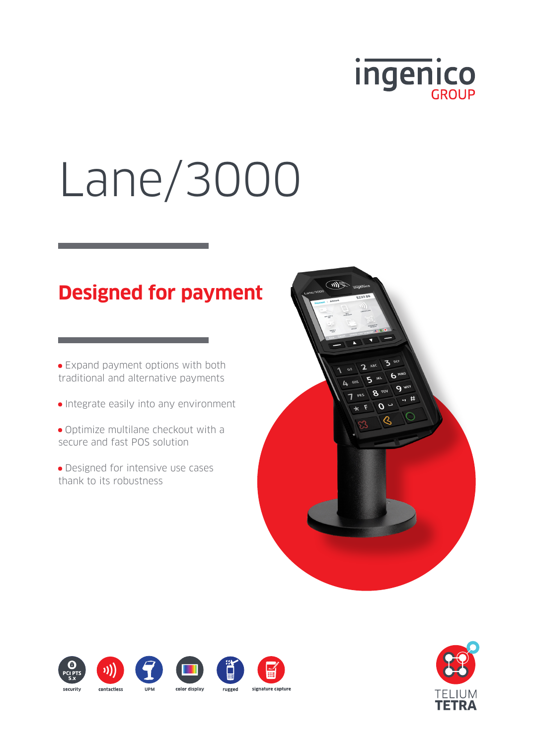

# Lane/3000

# **Designed for payment**

• Expand payment options with both traditional and alternative payments

- Integrate easily into any environment
- Optimize multilane checkout with a secure and fast POS solution
- Designed for intensive use cases thank to its robustness